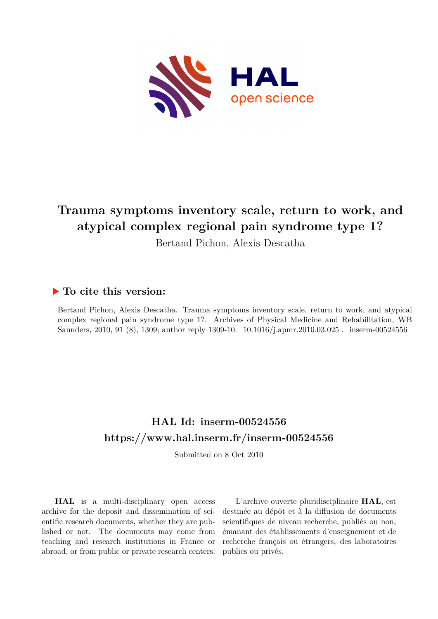

# **Trauma symptoms inventory scale, return to work, and atypical complex regional pain syndrome type 1?**

Bertand Pichon, Alexis Descatha

### **To cite this version:**

Bertand Pichon, Alexis Descatha. Trauma symptoms inventory scale, return to work, and atypical complex regional pain syndrome type 1?. Archives of Physical Medicine and Rehabilitation, WB Saunders, 2010, 91 (8), 1309; author reply 1309-10.  $10.1016/j.apmr.2010.03.025$ . inserm-00524556

## **HAL Id: inserm-00524556 <https://www.hal.inserm.fr/inserm-00524556>**

Submitted on 8 Oct 2010

**HAL** is a multi-disciplinary open access archive for the deposit and dissemination of scientific research documents, whether they are published or not. The documents may come from teaching and research institutions in France or abroad, or from public or private research centers.

L'archive ouverte pluridisciplinaire **HAL**, est destinée au dépôt et à la diffusion de documents scientifiques de niveau recherche, publiés ou non, émanant des établissements d'enseignement et de recherche français ou étrangers, des laboratoires publics ou privés.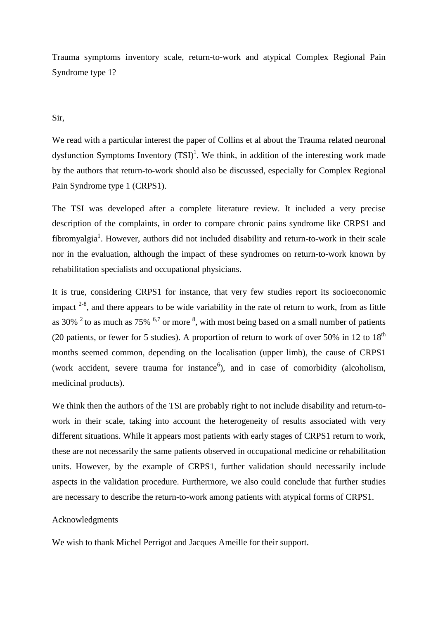Trauma symptoms inventory scale, return-to-work and atypical Complex Regional Pain Syndrome type 1?

### Sir,

We read with a particular interest the paper of Collins et al about the Trauma related neuronal dysfunction Symptoms Inventory  $(TSI)^1$ . We think, in addition of the interesting work made by the authors that return-to-work should also be discussed, especially for Complex Regional Pain Syndrome type 1 (CRPS1).

The TSI was developed after a complete literature review. It included a very precise description of the complaints, in order to compare chronic pains syndrome like CRPS1 and fibromyalgia<sup>1</sup>. However, authors did not included disability and return-to-work in their scale nor in the evaluation, although the impact of these syndromes on return-to-work known by rehabilitation specialists and occupational physicians.

It is true, considering CRPS1 for instance, that very few studies report its socioeconomic impact  $2^{-8}$ , and there appears to be wide variability in the rate of return to work, from as little as 30%  $2$  to as much as 75%  $6.7$  or more  $8$ , with most being based on a small number of patients (20 patients, or fewer for 5 studies). A proportion of return to work of over 50% in 12 to  $18<sup>th</sup>$ months seemed common, depending on the localisation (upper limb), the cause of CRPS1 (work accident, severe trauma for instance<sup>6</sup>), and in case of comorbidity (alcoholism, medicinal products).

We think then the authors of the TSI are probably right to not include disability and return-towork in their scale, taking into account the heterogeneity of results associated with very different situations. While it appears most patients with early stages of CRPS1 return to work, these are not necessarily the same patients observed in occupational medicine or rehabilitation units. However, by the example of CRPS1, further validation should necessarily include aspects in the validation procedure. Furthermore, we also could conclude that further studies are necessary to describe the return-to-work among patients with atypical forms of CRPS1.

#### Acknowledgments

We wish to thank Michel Perrigot and Jacques Ameille for their support.